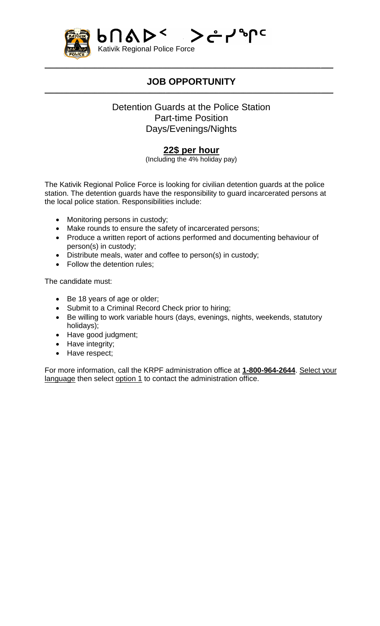

#### **JOB OPPORTUNITY**  $\mathcal{L}_\mathcal{L} = \{ \mathcal{L}_\mathcal{L} = \{ \mathcal{L}_\mathcal{L} = \{ \mathcal{L}_\mathcal{L} = \{ \mathcal{L}_\mathcal{L} = \{ \mathcal{L}_\mathcal{L} = \{ \mathcal{L}_\mathcal{L} = \{ \mathcal{L}_\mathcal{L} = \{ \mathcal{L}_\mathcal{L} = \{ \mathcal{L}_\mathcal{L} = \{ \mathcal{L}_\mathcal{L} = \{ \mathcal{L}_\mathcal{L} = \{ \mathcal{L}_\mathcal{L} = \{ \mathcal{L}_\mathcal{L} = \{ \mathcal{L}_\mathcal{$

 $\mathcal{L}_\mathcal{L} = \mathcal{L}_\mathcal{L} = \mathcal{L}_\mathcal{L} = \mathcal{L}_\mathcal{L} = \mathcal{L}_\mathcal{L} = \mathcal{L}_\mathcal{L} = \mathcal{L}_\mathcal{L} = \mathcal{L}_\mathcal{L} = \mathcal{L}_\mathcal{L} = \mathcal{L}_\mathcal{L} = \mathcal{L}_\mathcal{L} = \mathcal{L}_\mathcal{L} = \mathcal{L}_\mathcal{L} = \mathcal{L}_\mathcal{L} = \mathcal{L}_\mathcal{L} = \mathcal{L}_\mathcal{L} = \mathcal{L}_\mathcal{L}$ 

#### Detention Guards at the Police Station Part-time Position Days/Evenings/Nights

### **22\$ per hour**

(Including the 4% holiday pay)

The Kativik Regional Police Force is looking for civilian detention guards at the police station. The detention guards have the responsibility to guard incarcerated persons at the local police station. Responsibilities include:

- Monitoring persons in custody;
- Make rounds to ensure the safety of incarcerated persons;
- Produce a written report of actions performed and documenting behaviour of person(s) in custody;
- Distribute meals, water and coffee to person(s) in custody;
- Follow the detention rules;

The candidate must:

- Be 18 years of age or older;
- Submit to a Criminal Record Check prior to hiring;
- Be willing to work variable hours (days, evenings, nights, weekends, statutory holidays);
- Have good judgment;
- Have integrity;
- Have respect;

For more information, call the KRPF administration office at **1-800-964-2644**. Select your language then select option 1 to contact the administration office.